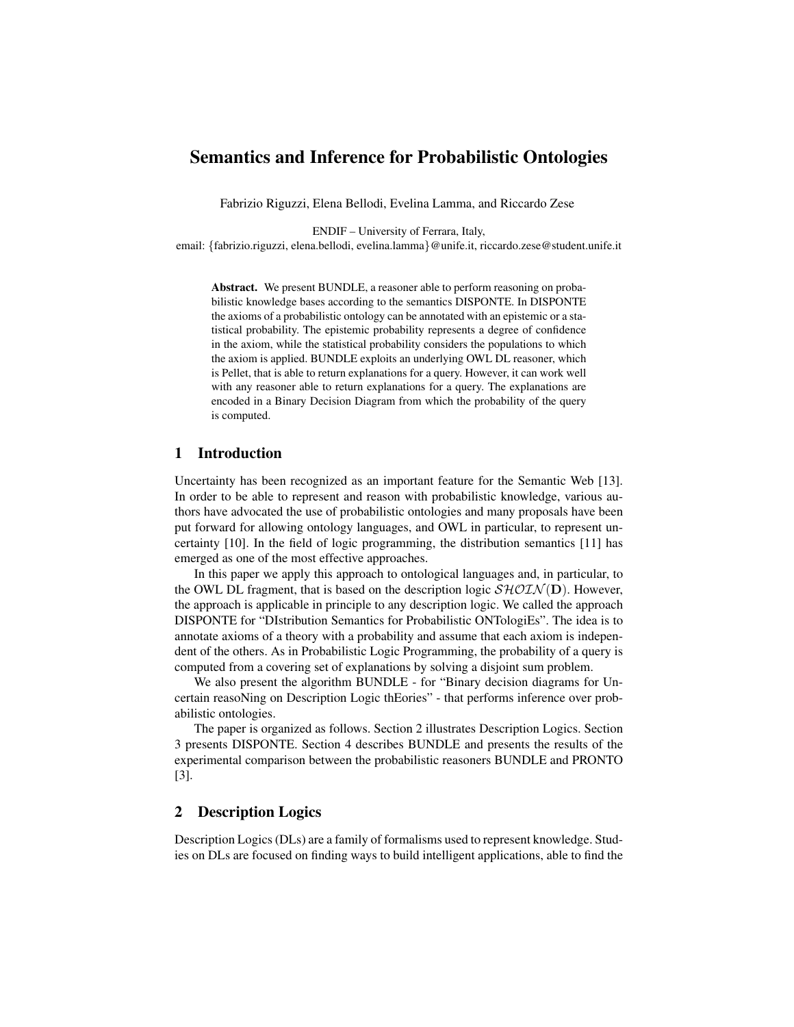# Semantics and Inference for Probabilistic Ontologies

Fabrizio Riguzzi, Elena Bellodi, Evelina Lamma, and Riccardo Zese

ENDIF – University of Ferrara, Italy,

email: {fabrizio.riguzzi, elena.bellodi, evelina.lamma}@unife.it, riccardo.zese@student.unife.it

Abstract. We present BUNDLE, a reasoner able to perform reasoning on probabilistic knowledge bases according to the semantics DISPONTE. In DISPONTE the axioms of a probabilistic ontology can be annotated with an epistemic or a statistical probability. The epistemic probability represents a degree of confidence in the axiom, while the statistical probability considers the populations to which the axiom is applied. BUNDLE exploits an underlying OWL DL reasoner, which is Pellet, that is able to return explanations for a query. However, it can work well with any reasoner able to return explanations for a query. The explanations are encoded in a Binary Decision Diagram from which the probability of the query is computed.

### 1 Introduction

Uncertainty has been recognized as an important feature for the Semantic Web [13]. In order to be able to represent and reason with probabilistic knowledge, various authors have advocated the use of probabilistic ontologies and many proposals have been put forward for allowing ontology languages, and OWL in particular, to represent uncertainty [10]. In the field of logic programming, the distribution semantics [11] has emerged as one of the most effective approaches.

In this paper we apply this approach to ontological languages and, in particular, to the OWL DL fragment, that is based on the description logic  $\mathcal{SHOLN}(\mathbf{D})$ . However, the approach is applicable in principle to any description logic. We called the approach DISPONTE for "DIstribution Semantics for Probabilistic ONTologiEs". The idea is to annotate axioms of a theory with a probability and assume that each axiom is independent of the others. As in Probabilistic Logic Programming, the probability of a query is computed from a covering set of explanations by solving a disjoint sum problem.

We also present the algorithm BUNDLE - for "Binary decision diagrams for Uncertain reasoNing on Description Logic thEories" - that performs inference over probabilistic ontologies.

The paper is organized as follows. Section 2 illustrates Description Logics. Section 3 presents DISPONTE. Section 4 describes BUNDLE and presents the results of the experimental comparison between the probabilistic reasoners BUNDLE and PRONTO [3].

## 2 Description Logics

Description Logics (DLs) are a family of formalisms used to represent knowledge. Studies on DLs are focused on finding ways to build intelligent applications, able to find the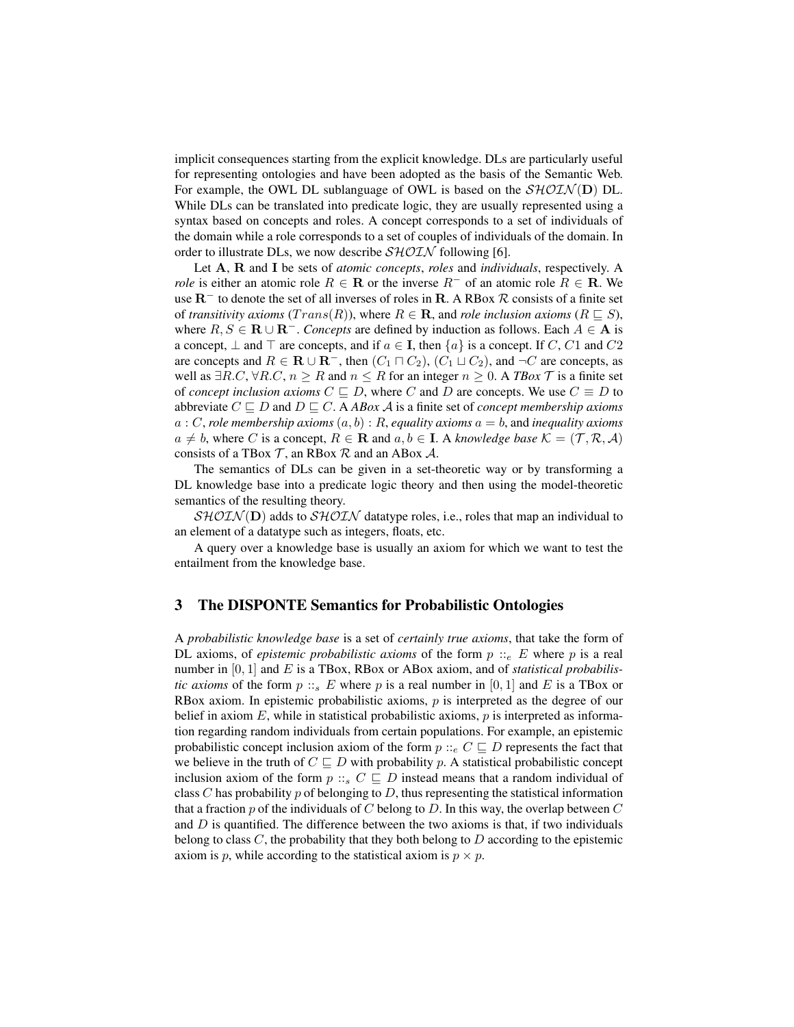implicit consequences starting from the explicit knowledge. DLs are particularly useful for representing ontologies and have been adopted as the basis of the Semantic Web. For example, the OWL DL sublanguage of OWL is based on the  $\mathcal{SHOLN}(D)$  DL. While DLs can be translated into predicate logic, they are usually represented using a syntax based on concepts and roles. A concept corresponds to a set of individuals of the domain while a role corresponds to a set of couples of individuals of the domain. In order to illustrate DLs, we now describe  $\mathcal{SHOLN}$  following [6].

Let A, R and I be sets of *atomic concepts*, *roles* and *individuals*, respectively. A *role* is either an atomic role  $R \in \mathbf{R}$  or the inverse  $R^-$  of an atomic role  $R \in \mathbf{R}$ . We use R<sup>−</sup> to denote the set of all inverses of roles in R. A RBox R consists of a finite set of *transitivity axioms*  $(Trans(R))$ , where  $R \in \mathbf{R}$ , and *role inclusion axioms*  $(R \sqsubseteq S)$ , where  $R, S \in \mathbf{R} \cup \mathbf{R}^-$ . *Concepts* are defined by induction as follows. Each  $A \in \mathbf{A}$  is a concept,  $\perp$  and  $\perp$  are concepts, and if  $a \in I$ , then  $\{a\}$  is a concept. If C, C1 and C2 are concepts and  $R \in \mathbf{R} \cup \mathbf{R}^-$ , then  $(C_1 \sqcap C_2)$ ,  $(C_1 \sqcup C_2)$ , and  $\neg C$  are concepts, as well as  $∃R.C, ∀R.C, n ≥ R$  and  $n ≤ R$  for an integer  $n ≥ 0$ . A *TBox*  $\mathcal T$  is a finite set of *concept inclusion axioms*  $C \sqsubseteq D$ , where C and D are concepts. We use  $C \equiv D$  to abbreviate  $C \sqsubseteq D$  and  $D \sqsubseteq C$ . A *ABox A* is a finite set of *concept membership axioms* a : C, *role membership axioms* (a, b) : R, *equality axioms* a = b, and *inequality axioms*  $a \neq b$ , where C is a concept,  $R \in \mathbf{R}$  and  $a, b \in \mathbf{I}$ . A *knowledge base*  $\mathcal{K} = (\mathcal{T}, \mathcal{R}, \mathcal{A})$ consists of a TBox  $\mathcal T$ , an RBox  $\mathcal R$  and an ABox  $\mathcal A$ .

The semantics of DLs can be given in a set-theoretic way or by transforming a DL knowledge base into a predicate logic theory and then using the model-theoretic semantics of the resulting theory.

 $\mathcal{SHOLN}(\mathbf{D})$  adds to  $\mathcal{SHOLN}$  datatype roles, i.e., roles that map an individual to an element of a datatype such as integers, floats, etc.

A query over a knowledge base is usually an axiom for which we want to test the entailment from the knowledge base.

#### 3 The DISPONTE Semantics for Probabilistic Ontologies

A *probabilistic knowledge base* is a set of *certainly true axioms*, that take the form of DL axioms, of *epistemic probabilistic axioms* of the form  $p ::_{e} E$  where p is a real number in [0, 1] and E is a TBox, RBox or ABox axiom, and of *statistical probabilistic axioms* of the form  $p :: s E$  where p is a real number in [0, 1] and E is a TBox or RBox axiom. In epistemic probabilistic axioms,  $p$  is interpreted as the degree of our belief in axiom E, while in statistical probabilistic axioms,  $p$  is interpreted as information regarding random individuals from certain populations. For example, an epistemic probabilistic concept inclusion axiom of the form  $p ::_e C \sqsubseteq D$  represents the fact that we believe in the truth of  $C \sqsubseteq D$  with probability p. A statistical probabilistic concept inclusion axiom of the form  $p ::_s C \sqsubseteq D$  instead means that a random individual of class C has probability p of belonging to D, thus representing the statistical information that a fraction  $p$  of the individuals of C belong to D. In this way, the overlap between  $C$ and  $D$  is quantified. The difference between the two axioms is that, if two individuals belong to class  $C$ , the probability that they both belong to  $D$  according to the epistemic axiom is p, while according to the statistical axiom is  $p \times p$ .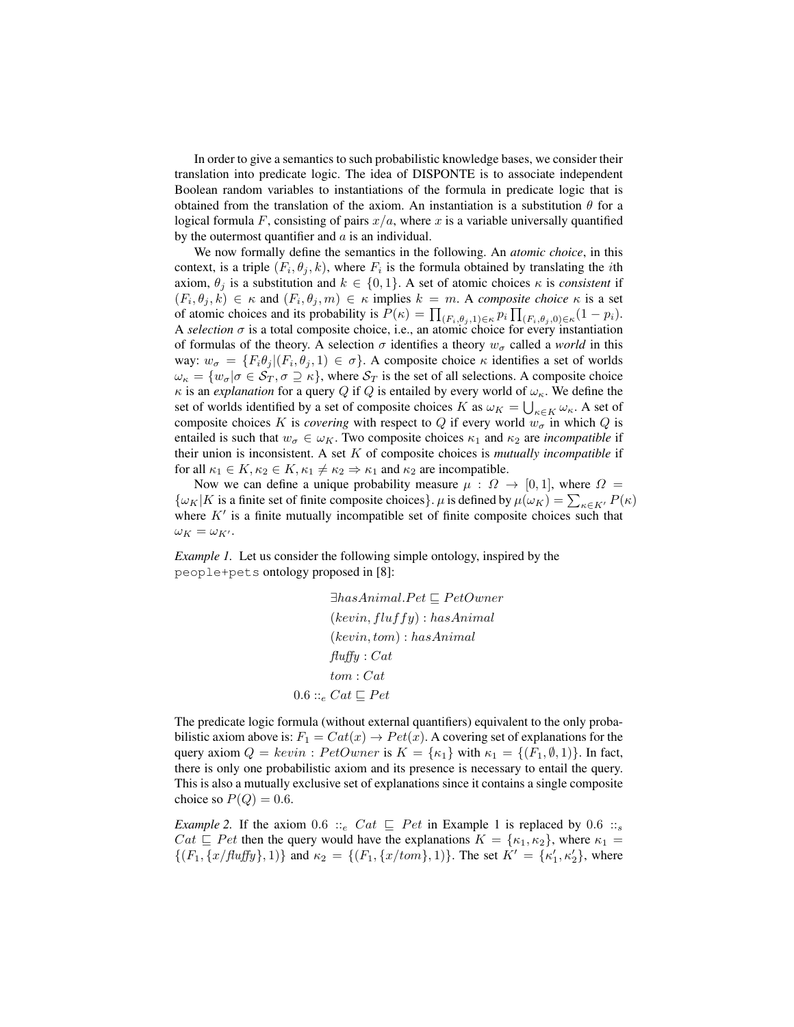In order to give a semantics to such probabilistic knowledge bases, we consider their translation into predicate logic. The idea of DISPONTE is to associate independent Boolean random variables to instantiations of the formula in predicate logic that is obtained from the translation of the axiom. An instantiation is a substitution  $\theta$  for a logical formula F, consisting of pairs  $x/a$ , where x is a variable universally quantified by the outermost quantifier and  $\alpha$  is an individual.

We now formally define the semantics in the following. An *atomic choice*, in this context, is a triple  $(F_i, \theta_j, k)$ , where  $F_i$  is the formula obtained by translating the *i*th axiom,  $\theta_i$  is a substitution and  $k \in \{0, 1\}$ . A set of atomic choices  $\kappa$  is *consistent* if  $(F_i, \theta_j, k) \in \kappa$  and  $(F_i, \theta_j, m) \in \kappa$  implies  $k = m$ . A *composite choice*  $\kappa$  is a set of atomic choices and its probability is  $P(\kappa) = \prod_{(F_i, \theta_j, 1) \in \kappa} p_i \prod_{(F_i, \theta_j, 0) \in \kappa} (1 - p_i)$ . A *selection*  $\sigma$  is a total composite choice, i.e., an atomic choice for every instantiation of formulas of the theory. A selection  $\sigma$  identifies a theory  $w_{\sigma}$  called a *world* in this way:  $w_{\sigma} = \{F_i \theta_j | (F_i, \theta_j, 1) \in \sigma\}$ . A composite choice  $\kappa$  identifies a set of worlds  $\omega_{\kappa} = \{w_{\sigma} | \sigma \in S_T, \sigma \supseteq \kappa\}$ , where  $S_T$  is the set of all selections. A composite choice  $\kappa$  is an *explanation* for a query Q if Q is entailed by every world of  $\omega_{\kappa}$ . We define the set of worlds identified by a set of composite choices K as  $\omega_K = \bigcup_{\kappa \in K} \omega_{\kappa}$ . A set of composite choices K is *covering* with respect to Q if every world  $w_{\sigma}$  in which Q is entailed is such that  $w_{\sigma} \in \omega_K$ . Two composite choices  $\kappa_1$  and  $\kappa_2$  are *incompatible* if their union is inconsistent. A set K of composite choices is *mutually incompatible* if for all  $\kappa_1 \in K$ ,  $\kappa_2 \in K$ ,  $\kappa_1 \neq \kappa_2 \Rightarrow \kappa_1$  and  $\kappa_2$  are incompatible.

Now we can define a unique probability measure  $\mu$  :  $\Omega \rightarrow [0, 1]$ , where  $\Omega =$  $\{\omega_K|K$  is a finite set of finite composite choices}.  $\mu$  is defined by  $\mu(\omega_K) = \sum_{\kappa \in K'} P(\kappa)$ where  $K'$  is a finite mutually incompatible set of finite composite choices such that  $\omega_K = \omega_{K'}$ .

*Example 1.* Let us consider the following simple ontology, inspired by the people+pets ontology proposed in [8]:

> $\exists has Animal.Pet \sqsubset PetOwner$  $(keyin, fluxffy) : hasAnimal$  $(keyin, tom): hasAnimal$  $fluffy : Cat$ tom : Cat  $0.6 ::_{e} Cat \sqsubseteq Pet$

The predicate logic formula (without external quantifiers) equivalent to the only probabilistic axiom above is:  $F_1 = Cat(x) \rightarrow Pet(x)$ . A covering set of explanations for the query axiom  $Q = \text{kevin}$ :  $\text{PetOwner}$  is  $K = \{\kappa_1\}$  with  $\kappa_1 = \{(F_1, \emptyset, 1)\}$ . In fact, there is only one probabilistic axiom and its presence is necessary to entail the query. This is also a mutually exclusive set of explanations since it contains a single composite choice so  $P(Q) = 0.6$ .

*Example 2.* If the axiom 0.6 ::<sub>e</sub> Cat  $\subseteq$  Pet in Example 1 is replaced by 0.6 ::<sub>s</sub>  $Cat \subseteq Pet$  then the query would have the explanations  $K = {\kappa_1, \kappa_2}$ , where  $\kappa_1 =$  $\{(F_1, \{x/flux\}, 1)\}\$  and  $\kappa_2 = \{(F_1, \{x/tom\}, 1)\}\$ . The set  $K' = \{\kappa'_1, \kappa'_2\}$ , where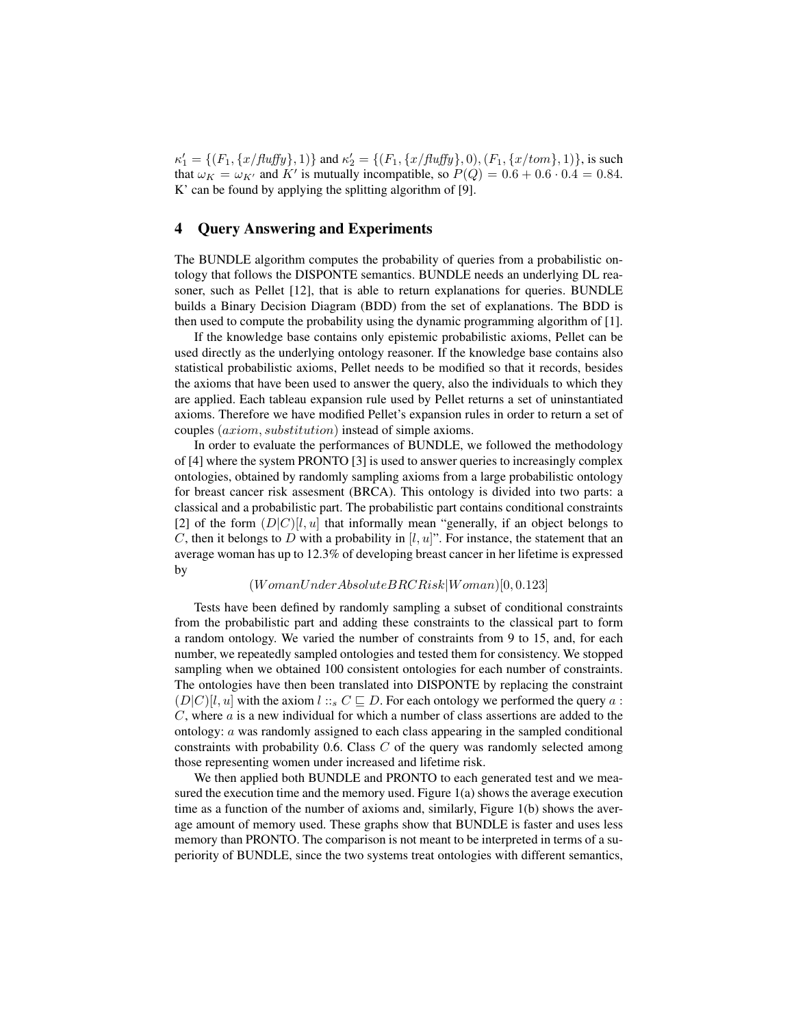$\kappa_1' = \{(F_1, \{x/flux\}, 1)\}\$  and  $\kappa_2' = \{(F_1, \{x/flux\}, 0), (F_1, \{x/tom\}, 1)\}\$ , is such that  $\omega_K = \omega_{K'}$  and K' is mutually incompatible, so  $P(Q) = 0.6 + 0.6 \cdot 0.4 = 0.84$ . K' can be found by applying the splitting algorithm of [9].

### 4 Query Answering and Experiments

The BUNDLE algorithm computes the probability of queries from a probabilistic ontology that follows the DISPONTE semantics. BUNDLE needs an underlying DL reasoner, such as Pellet [12], that is able to return explanations for queries. BUNDLE builds a Binary Decision Diagram (BDD) from the set of explanations. The BDD is then used to compute the probability using the dynamic programming algorithm of [1].

If the knowledge base contains only epistemic probabilistic axioms, Pellet can be used directly as the underlying ontology reasoner. If the knowledge base contains also statistical probabilistic axioms, Pellet needs to be modified so that it records, besides the axioms that have been used to answer the query, also the individuals to which they are applied. Each tableau expansion rule used by Pellet returns a set of uninstantiated axioms. Therefore we have modified Pellet's expansion rules in order to return a set of couples (axiom, substitution) instead of simple axioms.

In order to evaluate the performances of BUNDLE, we followed the methodology of [4] where the system PRONTO [3] is used to answer queries to increasingly complex ontologies, obtained by randomly sampling axioms from a large probabilistic ontology for breast cancer risk assesment (BRCA). This ontology is divided into two parts: a classical and a probabilistic part. The probabilistic part contains conditional constraints [2] of the form  $(D|C)[l, u]$  that informally mean "generally, if an object belongs to C, then it belongs to D with a probability in  $[l, u]$ ". For instance, the statement that an average woman has up to 12.3% of developing breast cancer in her lifetime is expressed by

## $(WomanUnderAbsolute BRCRisk|Woman)[0, 0.123]$

Tests have been defined by randomly sampling a subset of conditional constraints from the probabilistic part and adding these constraints to the classical part to form a random ontology. We varied the number of constraints from 9 to 15, and, for each number, we repeatedly sampled ontologies and tested them for consistency. We stopped sampling when we obtained 100 consistent ontologies for each number of constraints. The ontologies have then been translated into DISPONTE by replacing the constraint  $(D|C)[l, u]$  with the axiom  $l :: s C \sqsubseteq D$ . For each ontology we performed the query a : C, where a is a new individual for which a number of class assertions are added to the ontology: a was randomly assigned to each class appearing in the sampled conditional constraints with probability 0.6. Class  $C$  of the query was randomly selected among those representing women under increased and lifetime risk.

We then applied both BUNDLE and PRONTO to each generated test and we measured the execution time and the memory used. Figure 1(a) shows the average execution time as a function of the number of axioms and, similarly, Figure 1(b) shows the average amount of memory used. These graphs show that BUNDLE is faster and uses less memory than PRONTO. The comparison is not meant to be interpreted in terms of a superiority of BUNDLE, since the two systems treat ontologies with different semantics,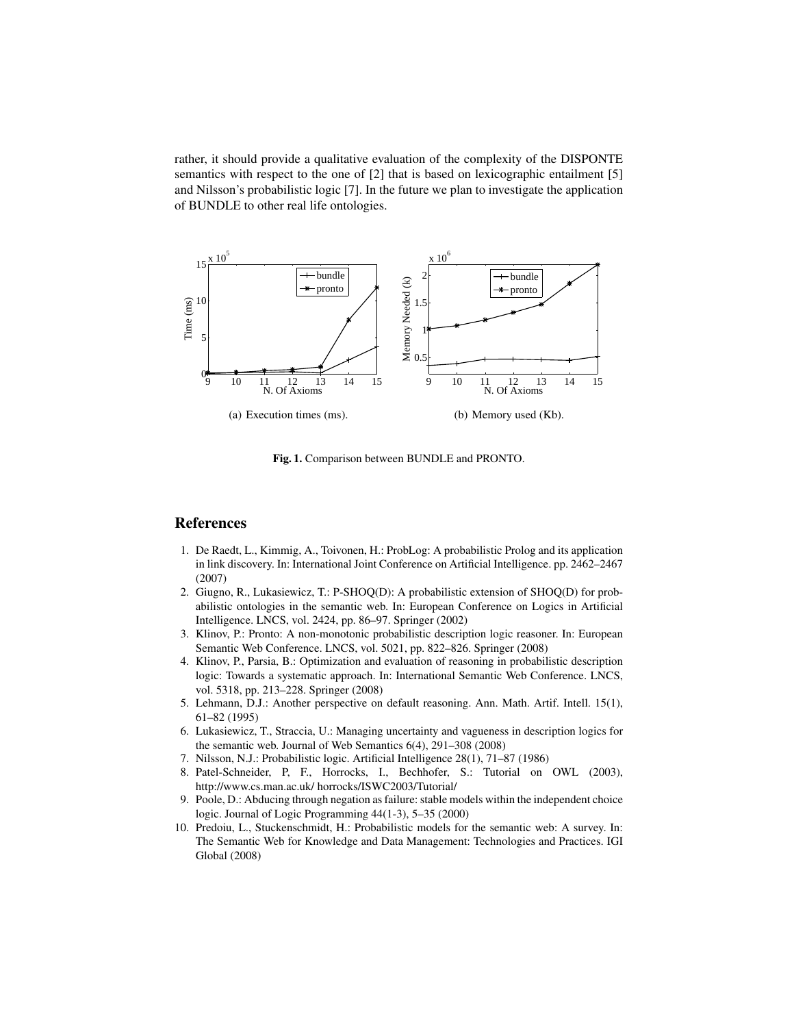rather, it should provide a qualitative evaluation of the complexity of the DISPONTE semantics with respect to the one of [2] that is based on lexicographic entailment [5] and Nilsson's probabilistic logic [7]. In the future we plan to investigate the application of BUNDLE to other real life ontologies.



Fig. 1. Comparison between BUNDLE and PRONTO.

# References

- 1. De Raedt, L., Kimmig, A., Toivonen, H.: ProbLog: A probabilistic Prolog and its application in link discovery. In: International Joint Conference on Artificial Intelligence. pp. 2462–2467 (2007)
- 2. Giugno, R., Lukasiewicz, T.: P-SHOQ(D): A probabilistic extension of SHOQ(D) for probabilistic ontologies in the semantic web. In: European Conference on Logics in Artificial Intelligence. LNCS, vol. 2424, pp. 86–97. Springer (2002)
- 3. Klinov, P.: Pronto: A non-monotonic probabilistic description logic reasoner. In: European Semantic Web Conference. LNCS, vol. 5021, pp. 822–826. Springer (2008)
- 4. Klinov, P., Parsia, B.: Optimization and evaluation of reasoning in probabilistic description logic: Towards a systematic approach. In: International Semantic Web Conference. LNCS, vol. 5318, pp. 213–228. Springer (2008)
- 5. Lehmann, D.J.: Another perspective on default reasoning. Ann. Math. Artif. Intell. 15(1), 61–82 (1995)
- 6. Lukasiewicz, T., Straccia, U.: Managing uncertainty and vagueness in description logics for the semantic web. Journal of Web Semantics 6(4), 291–308 (2008)
- 7. Nilsson, N.J.: Probabilistic logic. Artificial Intelligence 28(1), 71–87 (1986)
- 8. Patel-Schneider, P, F., Horrocks, I., Bechhofer, S.: Tutorial on OWL (2003), http://www.cs.man.ac.uk/ horrocks/ISWC2003/Tutorial/
- 9. Poole, D.: Abducing through negation as failure: stable models within the independent choice logic. Journal of Logic Programming 44(1-3), 5–35 (2000)
- 10. Predoiu, L., Stuckenschmidt, H.: Probabilistic models for the semantic web: A survey. In: The Semantic Web for Knowledge and Data Management: Technologies and Practices. IGI Global (2008)